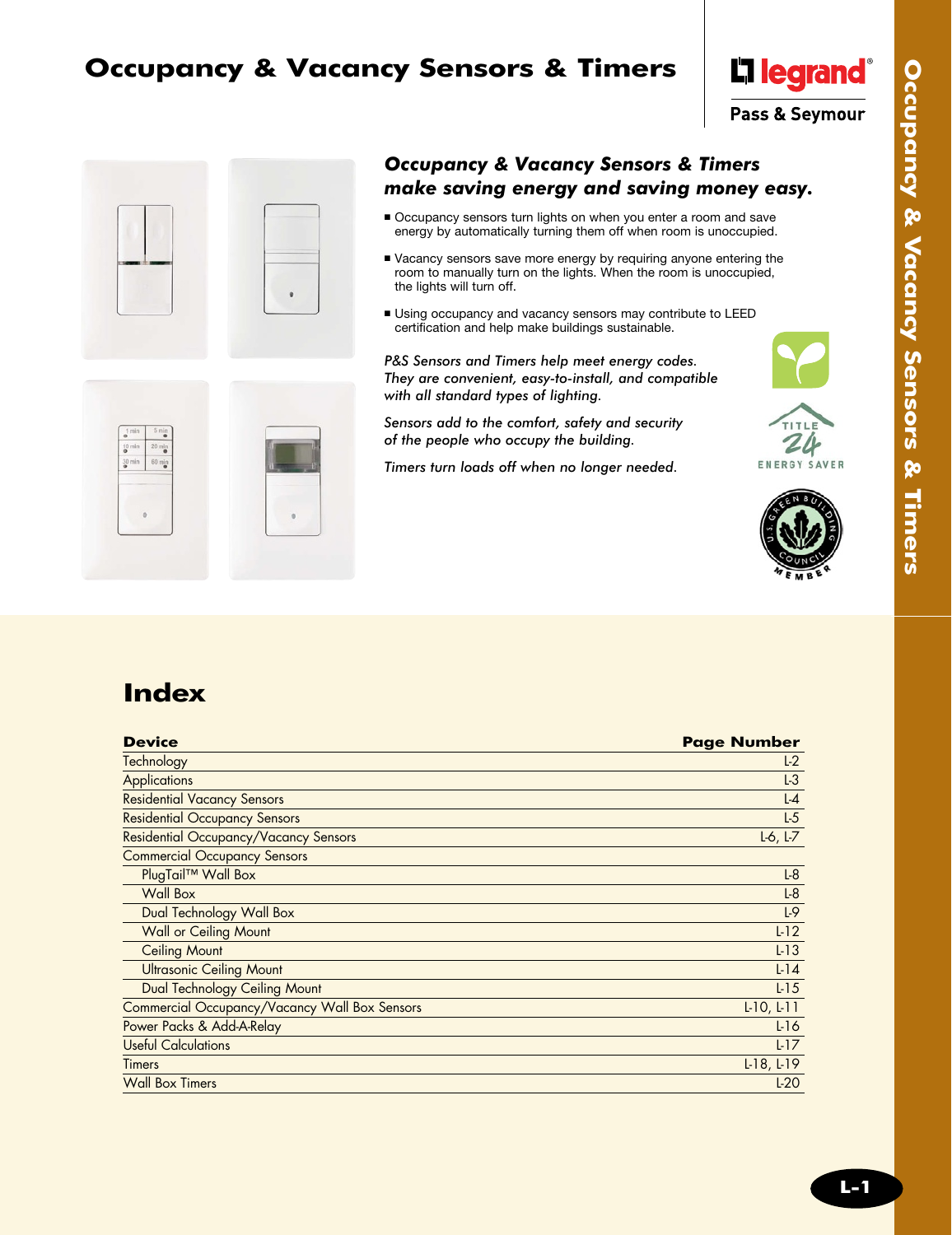# **Occupancy & Vacancy Sensors & Timers**





### *Occupancy & Vacancy Sensors & Timers make saving energy and saving money easy.*

- <sup>n</sup> Occupancy sensors turn lights on when you enter a room and save energy by automatically turning them off when room is unoccupied.
- <sup>n</sup> Vacancy sensors save more energy by requiring anyone entering the room to manually turn on the lights. When the room is unoccupied, the lights will turn off.
- **Using occupancy and vacancy sensors may contribute to LEED** certification and help make buildings sustainable.

*P&S Sensors and Timers help meet energy codes. They are convenient, easy-to-install, and compatible with all standard types of lighting.*

*Sensors add to the comfort, safety and security of the people who occupy the building.* 

*Timers turn loads off when no longer needed.*









# **Index**

| <b>Device</b>                                 | <b>Page Number</b> |
|-----------------------------------------------|--------------------|
| Technology                                    | $L-2$              |
| <b>Applications</b>                           | $L-3$              |
| <b>Residential Vacancy Sensors</b>            | $L-4$              |
| <b>Residential Occupancy Sensors</b>          | $L-5$              |
| Residential Occupancy/Vacancy Sensors         | $L-6$ , $L-7$      |
| <b>Commercial Occupancy Sensors</b>           |                    |
| PlugTail™ Wall Box                            | $L-8$              |
| Wall Box                                      | $L-8$              |
| Dual Technology Wall Box                      | L <sub>9</sub>     |
| <b>Wall or Ceiling Mount</b>                  | L <sub>12</sub>    |
| <b>Ceiling Mount</b>                          | $L-13$             |
| <b>Ultrasonic Ceiling Mount</b>               | $L-14$             |
| Dual Technology Ceiling Mount                 | $L-15$             |
| Commercial Occupancy/Vacancy Wall Box Sensors | $L$ -10, $L$ -11   |
| Power Packs & Add-A-Relay                     | $L-16$             |
| <b>Useful Calculations</b>                    | L17                |
| <b>Timers</b>                                 | $L$ 18, $L$ 19     |
| <b>Wall Box Timers</b>                        | $L-20$             |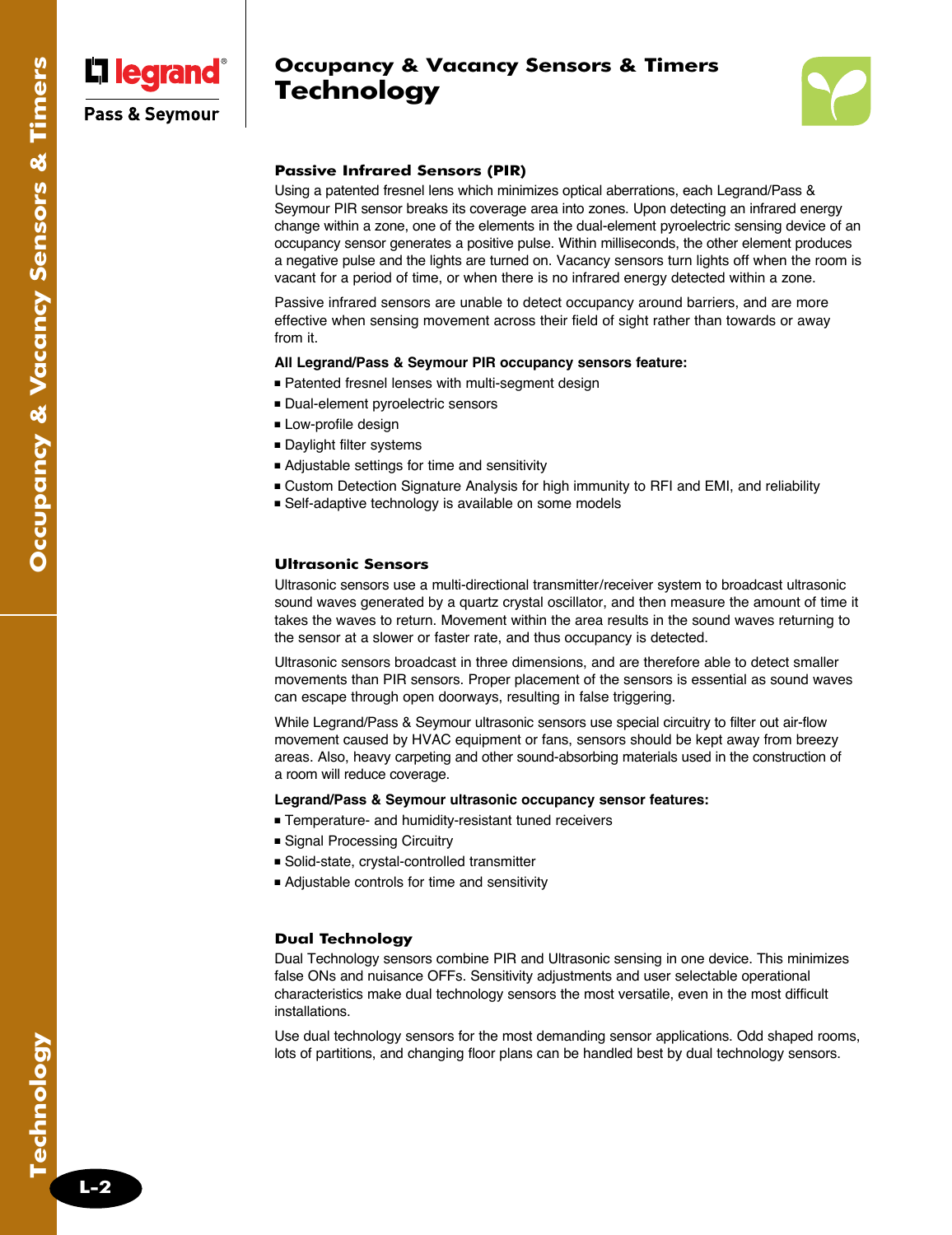

## **Occupancy & Vacancy Sensors & Timers Technology**



### **Passive Infrared Sensors (PIR)**

Using a patented fresnel lens which minimizes optical aberrations, each Legrand/Pass & Seymour PIR sensor breaks its coverage area into zones. Upon detecting an infrared energy change within a zone, one of the elements in the dual-element pyroelectric sensing device of an occupancy sensor generates a positive pulse. Within milliseconds, the other element produces a negative pulse and the lights are turned on. Vacancy sensors turn lights off when the room is vacant for a period of time, or when there is no infrared energy detected within a zone.

Passive infrared sensors are unable to detect occupancy around barriers, and are more effective when sensing movement across their field of sight rather than towards or away from it.

#### **All Legrand/Pass & Seymour PIR occupancy sensors feature:**

- Patented fresnel lenses with multi-segment design
- <sup>n</sup> Dual-element pyroelectric sensors
- **ELow-profile design**
- **Daylight filter systems**
- <sup>n</sup> Adjustable settings for time and sensitivity
- <sup>n</sup> Custom Detection Signature Analysis for high immunity to RFI and EMI, and reliability
- Self-adaptive technology is available on some models

#### **Ultrasonic Sensors**

Ultrasonic sensors use a multi-directional transmitter/receiver system to broadcast ultrasonic sound waves generated by a quartz crystal oscillator, and then measure the amount of time it takes the waves to return. Movement within the area results in the sound waves returning to the sensor at a slower or faster rate, and thus occupancy is detected.

Ultrasonic sensors broadcast in three dimensions, and are therefore able to detect smaller movements than PIR sensors. Proper placement of the sensors is essential as sound waves can escape through open doorways, resulting in false triggering.

While Legrand/Pass & Seymour ultrasonic sensors use special circuitry to filter out air-flow movement caused by HVAC equipment or fans, sensors should be kept away from breezy areas. Also, heavy carpeting and other sound-absorbing materials used in the construction of a room will reduce coverage.

#### **Legrand/Pass & Seymour ultrasonic occupancy sensor features:**

- <sup>n</sup> Temperature- and humidity-resistant tuned receivers
- Signal Processing Circuitry
- <sup>n</sup> Solid-state, crystal-controlled transmitter
- <sup>n</sup> Adjustable controls for time and sensitivity

#### **Dual Technology**

Dual Technology sensors combine PIR and Ultrasonic sensing in one device. This minimizes false ONs and nuisance OFFs. Sensitivity adjustments and user selectable operational characteristics make dual technology sensors the most versatile, even in the most difficult installations.

Use dual technology sensors for the most demanding sensor applications. Odd shaped rooms, lots of partitions, and changing floor plans can be handled best by dual technology sensors.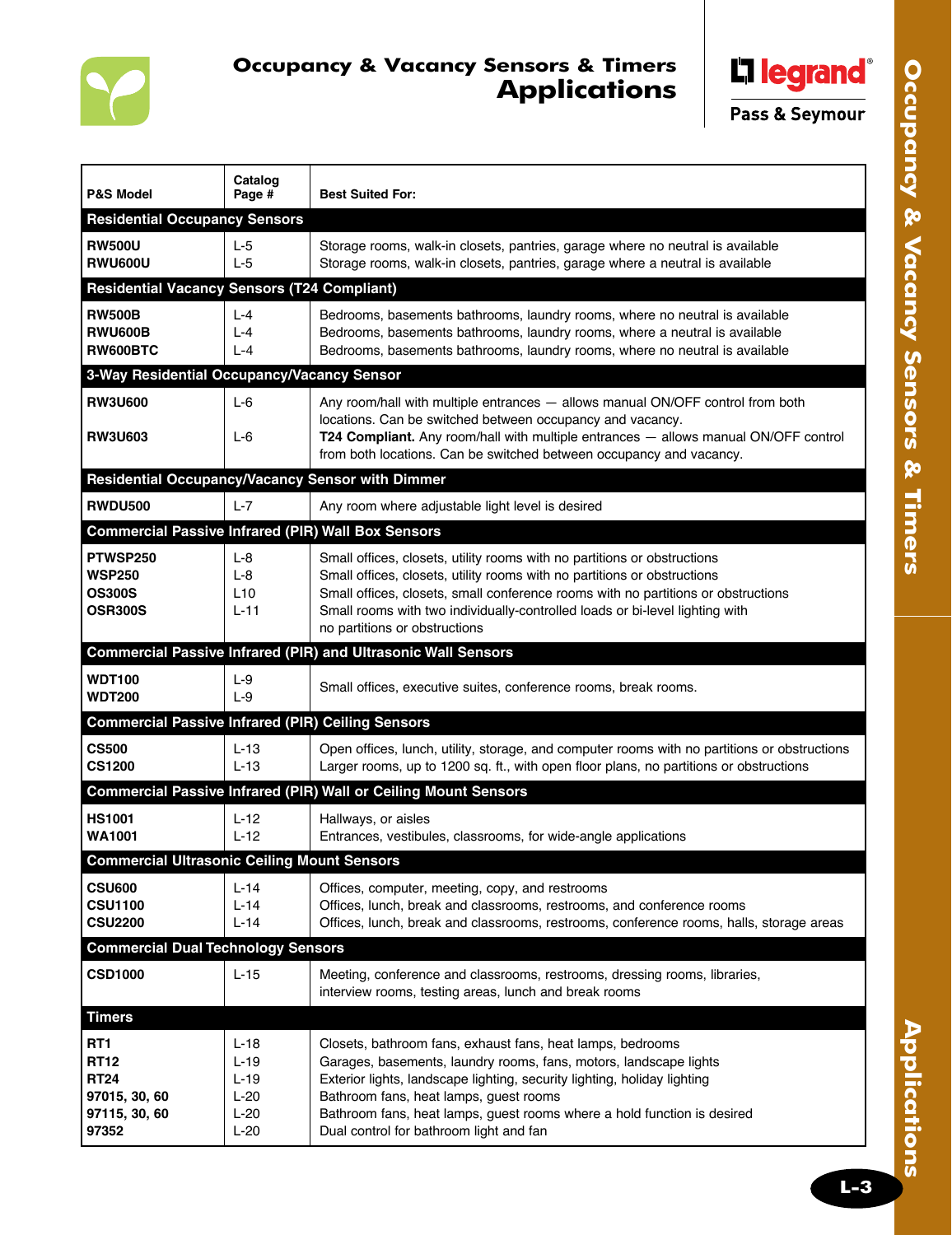

## **Occupancy & Vacancy Sensors & Timers Applications**



Pass & Seymour

| <b>P&amp;S Model</b>                                                         | Catalog<br>Page #                                      | <b>Best Suited For:</b>                                                                                                                                                                                                                                                                                                                                                     |  |  |  |
|------------------------------------------------------------------------------|--------------------------------------------------------|-----------------------------------------------------------------------------------------------------------------------------------------------------------------------------------------------------------------------------------------------------------------------------------------------------------------------------------------------------------------------------|--|--|--|
| <b>Residential Occupancy Sensors</b>                                         |                                                        |                                                                                                                                                                                                                                                                                                                                                                             |  |  |  |
| <b>RW500U</b><br><b>RWU600U</b>                                              | $L-5$<br>$L-5$                                         | Storage rooms, walk-in closets, pantries, garage where no neutral is available<br>Storage rooms, walk-in closets, pantries, garage where a neutral is available                                                                                                                                                                                                             |  |  |  |
| <b>Residential Vacancy Sensors (T24 Compliant)</b>                           |                                                        |                                                                                                                                                                                                                                                                                                                                                                             |  |  |  |
| <b>RW500B</b><br><b>RWU600B</b><br>RW600BTC                                  | $L - 4$<br>$L - 4$<br>$L - 4$                          | Bedrooms, basements bathrooms, laundry rooms, where no neutral is available<br>Bedrooms, basements bathrooms, laundry rooms, where a neutral is available<br>Bedrooms, basements bathrooms, laundry rooms, where no neutral is available                                                                                                                                    |  |  |  |
| 3-Way Residential Occupancy/Vacancy Sensor                                   |                                                        |                                                                                                                                                                                                                                                                                                                                                                             |  |  |  |
| <b>RW3U600</b><br><b>RW3U603</b>                                             | L-6<br>$L-6$                                           | Any room/hall with multiple entrances - allows manual ON/OFF control from both<br>locations. Can be switched between occupancy and vacancy.<br>T24 Compliant. Any room/hall with multiple entrances - allows manual ON/OFF control<br>from both locations. Can be switched between occupancy and vacancy.                                                                   |  |  |  |
| Residential Occupancy/Vacancy Sensor with Dimmer                             |                                                        |                                                                                                                                                                                                                                                                                                                                                                             |  |  |  |
| <b>RWDU500</b>                                                               | $L-7$                                                  |                                                                                                                                                                                                                                                                                                                                                                             |  |  |  |
| <b>Commercial Passive Infrared (PIR) Wall Box Sensors</b>                    |                                                        | Any room where adjustable light level is desired                                                                                                                                                                                                                                                                                                                            |  |  |  |
|                                                                              |                                                        |                                                                                                                                                                                                                                                                                                                                                                             |  |  |  |
| PTWSP250<br><b>WSP250</b><br><b>OS300S</b><br><b>OSR300S</b>                 | $L-8$<br>$L-8$<br>L10<br>$L-11$                        | Small offices, closets, utility rooms with no partitions or obstructions<br>Small offices, closets, utility rooms with no partitions or obstructions<br>Small offices, closets, small conference rooms with no partitions or obstructions<br>Small rooms with two individually-controlled loads or bi-level lighting with<br>no partitions or obstructions                  |  |  |  |
|                                                                              |                                                        | <b>Commercial Passive Infrared (PIR) and Ultrasonic Wall Sensors</b>                                                                                                                                                                                                                                                                                                        |  |  |  |
| <b>WDT100</b><br><b>WDT200</b>                                               | $L-9$<br>$L-9$                                         | Small offices, executive suites, conference rooms, break rooms.                                                                                                                                                                                                                                                                                                             |  |  |  |
| <b>Commercial Passive Infrared (PIR) Ceiling Sensors</b>                     |                                                        |                                                                                                                                                                                                                                                                                                                                                                             |  |  |  |
| <b>CS500</b><br><b>CS1200</b>                                                | $L-13$<br>$L-13$                                       | Open offices, lunch, utility, storage, and computer rooms with no partitions or obstructions<br>Larger rooms, up to 1200 sq. ft., with open floor plans, no partitions or obstructions                                                                                                                                                                                      |  |  |  |
|                                                                              |                                                        | <b>Commercial Passive Infrared (PIR) Wall or Ceiling Mount Sensors</b>                                                                                                                                                                                                                                                                                                      |  |  |  |
| <b>HS1001</b><br>WA1001                                                      | $L-12$<br>$L-12$                                       | Hallways, or aisles<br>Entrances, vestibules, classrooms, for wide-angle applications                                                                                                                                                                                                                                                                                       |  |  |  |
| <b>Commercial Ultrasonic Ceiling Mount Sensors</b>                           |                                                        |                                                                                                                                                                                                                                                                                                                                                                             |  |  |  |
| <b>CSU600</b><br><b>CSU1100</b><br><b>CSU2200</b>                            | $L-14$<br>$L-14$<br>$L-14$                             | Offices, computer, meeting, copy, and restrooms<br>Offices, lunch, break and classrooms, restrooms, and conference rooms<br>Offices, lunch, break and classrooms, restrooms, conference rooms, halls, storage areas                                                                                                                                                         |  |  |  |
| <b>Commercial Dual Technology Sensors</b>                                    |                                                        |                                                                                                                                                                                                                                                                                                                                                                             |  |  |  |
| <b>CSD1000</b>                                                               | $L-15$                                                 | Meeting, conference and classrooms, restrooms, dressing rooms, libraries,<br>interview rooms, testing areas, lunch and break rooms                                                                                                                                                                                                                                          |  |  |  |
| <b>Timers</b>                                                                |                                                        |                                                                                                                                                                                                                                                                                                                                                                             |  |  |  |
| RT1<br><b>RT12</b><br><b>RT24</b><br>97015, 30, 60<br>97115, 30, 60<br>97352 | L-18<br>$L-19$<br>$L-19$<br>$L-20$<br>$L-20$<br>$L-20$ | Closets, bathroom fans, exhaust fans, heat lamps, bedrooms<br>Garages, basements, laundry rooms, fans, motors, landscape lights<br>Exterior lights, landscape lighting, security lighting, holiday lighting<br>Bathroom fans, heat lamps, guest rooms<br>Bathroom fans, heat lamps, guest rooms where a hold function is desired<br>Dual control for bathroom light and fan |  |  |  |